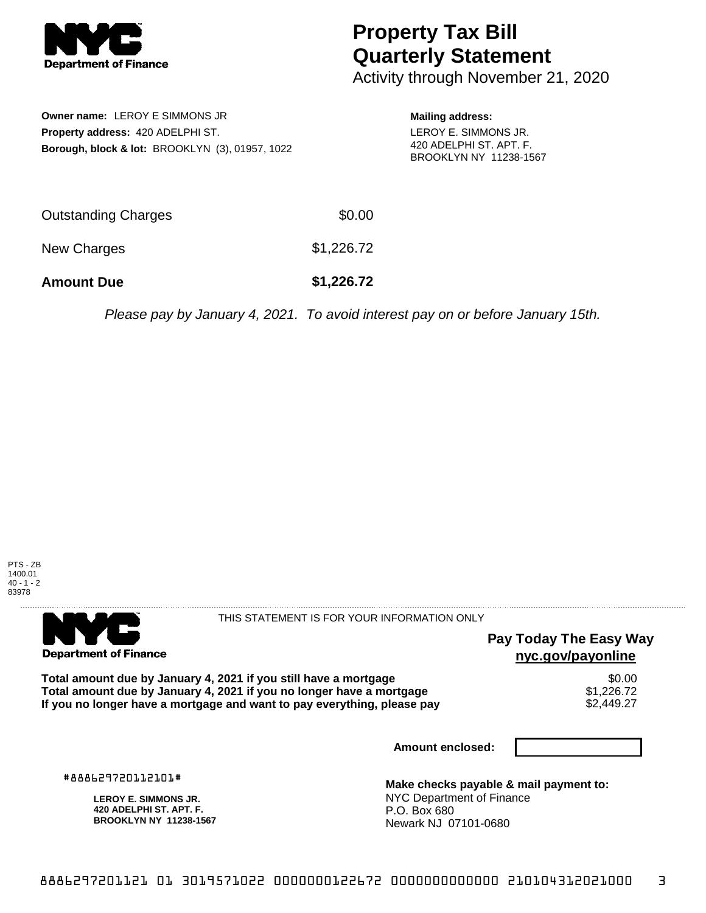

# **Property Tax Bill Quarterly Statement**

Activity through November 21, 2020

**Owner name:** LEROY E SIMMONS JR **Property address:** 420 ADELPHI ST. **Borough, block & lot:** BROOKLYN (3), 01957, 1022 **Mailing address:** LEROY E. SIMMONS JR. 420 ADELPHI ST. APT. F. BROOKLYN NY 11238-1567

| <b>Amount Due</b>   | \$1,226.72 |
|---------------------|------------|
| New Charges         | \$1,226.72 |
| Outstanding Charges | \$0.00     |

Please pay by January 4, 2021. To avoid interest pay on or before January 15th.





THIS STATEMENT IS FOR YOUR INFORMATION ONLY

#### **Pay Today The Easy Way nyc.gov/payonline**

Total amount due by January 4, 2021 if you still have a mortgage \$0.00<br>Total amount due by January 4, 2021 if you no longer have a mortgage \$1.226.72 **Total amount due by January 4, 2021 if you no longer have a mortgage**  $$1,226.72$$ **<br>If you no longer have a mortgage and want to pay everything, please pay**  $$2,449.27$$ If you no longer have a mortgage and want to pay everything, please pay

**Amount enclosed:**

#888629720112101#

**LEROY E. SIMMONS JR. 420 ADELPHI ST. APT. F. BROOKLYN NY 11238-1567**

**Make checks payable & mail payment to:** NYC Department of Finance P.O. Box 680 Newark NJ 07101-0680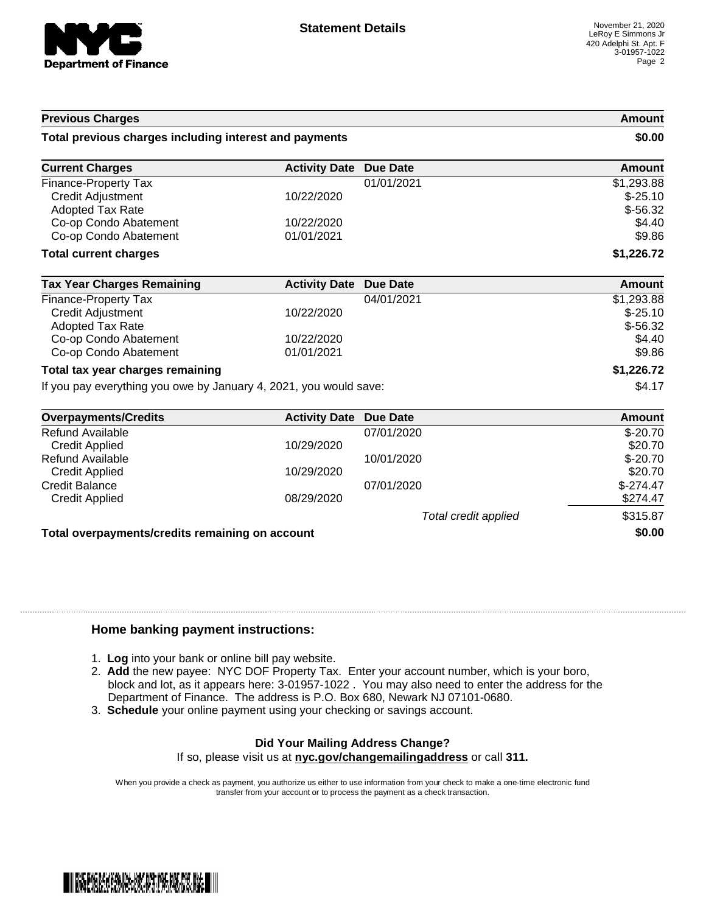

## **Previous Charges Amount Total previous charges including interest and payments \$0.00 Current Charges Activity Date Due Date Amount Amount** Finance-Property Tax \$1,293.88 Credit Adjustment 10/22/2020 \$-25.10 Adopted Tax Rate  $$-56.32$ Co-op Condo Abatement 10/22/2020 \$4.40 Co-op Condo Abatement  $01/01/2021$  \$9.86 **Total current charges \$1,226.72 Tax Year Charges Remaining <b>Activity Date Due Date Amount Amount** Finance-Property Tax 04/01/2021 \$1,293.88 Credit Adjustment 10/22/2020 \$-25.10 Adopted Tax Rate \$-56.32 Co-op Condo Abatement 10/22/2020 \$4.40 Co-op Condo Abatement 01/01/2021 \$9.86 **Total tax year charges remaining \$1,226.72** If you pay everything you owe by January 4, 2021, you would save: \$4.17 **Overpayments/Credits Activity Date Due Date Amount**

| <u>UVEI DAVIIIEIII SIULEUILS</u>                | ACTIVITY Date Due Date |                      | Allivulit  |  |
|-------------------------------------------------|------------------------|----------------------|------------|--|
| Refund Available                                |                        | 07/01/2020           | $$-20.70$  |  |
| <b>Credit Applied</b>                           | 10/29/2020             |                      | \$20.70    |  |
| Refund Available                                |                        | 10/01/2020           | $$-20.70$  |  |
| Credit Applied                                  | 10/29/2020             |                      | \$20.70    |  |
| <b>Credit Balance</b>                           |                        | 07/01/2020           | $$-274.47$ |  |
| <b>Credit Applied</b>                           | 08/29/2020             |                      | \$274.47   |  |
|                                                 |                        | Total credit applied | \$315.87   |  |
| Total overpayments/credits remaining on account |                        | \$0.00               |            |  |
|                                                 |                        |                      |            |  |

#### **Home banking payment instructions:**

- 1. **Log** into your bank or online bill pay website.
- 2. **Add** the new payee: NYC DOF Property Tax. Enter your account number, which is your boro, block and lot, as it appears here: 3-01957-1022 . You may also need to enter the address for the Department of Finance. The address is P.O. Box 680, Newark NJ 07101-0680.
- 3. **Schedule** your online payment using your checking or savings account.

## **Did Your Mailing Address Change?**

If so, please visit us at **nyc.gov/changemailingaddress** or call **311.**

When you provide a check as payment, you authorize us either to use information from your check to make a one-time electronic fund transfer from your account or to process the payment as a check transaction.